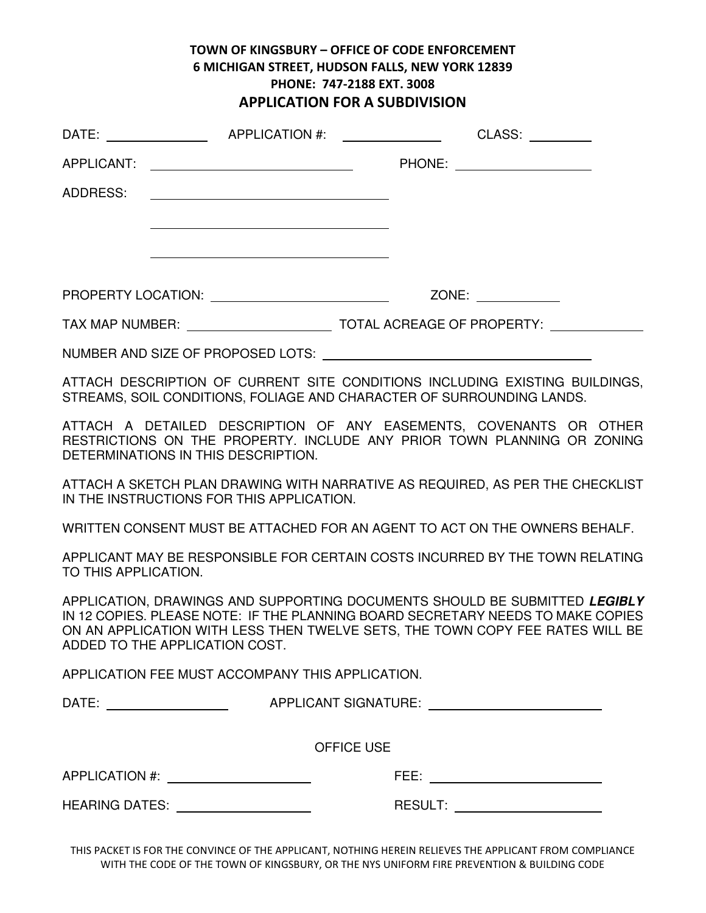# TOWN OF KINGSBURY – OFFICE OF CODE ENFORCEMENT 6 MICHIGAN STREET, HUDSON FALLS, NEW YORK 12839 PHONE: 747-2188 EXT. 3008 APPLICATION FOR A SUBDIVISION

|                      | DATE: APPLICATION #:                                                                                                                                                                                                                                                             |                   | CLASS:                          |  |
|----------------------|----------------------------------------------------------------------------------------------------------------------------------------------------------------------------------------------------------------------------------------------------------------------------------|-------------------|---------------------------------|--|
| APPLICANT:           | <u> 1980 - Johann Barbara, martin da basar a shekara 1980 - An tsa a tsara 1980 - An tsa a tsara 1980 - An tsa a</u>                                                                                                                                                             |                   | PHONE: ______________________   |  |
| ADDRESS:             | <u> 1989 - Johann Barbara, martin amerikan basar dan basa dan basar dan basar dalam basa dalam basa dan basa dan</u>                                                                                                                                                             |                   |                                 |  |
|                      |                                                                                                                                                                                                                                                                                  |                   |                                 |  |
|                      |                                                                                                                                                                                                                                                                                  |                   |                                 |  |
|                      |                                                                                                                                                                                                                                                                                  |                   |                                 |  |
|                      |                                                                                                                                                                                                                                                                                  |                   |                                 |  |
|                      |                                                                                                                                                                                                                                                                                  |                   |                                 |  |
|                      | ATTACH DESCRIPTION OF CURRENT SITE CONDITIONS INCLUDING EXISTING BUILDINGS.<br>STREAMS, SOIL CONDITIONS, FOLIAGE AND CHARACTER OF SURROUNDING LANDS.                                                                                                                             |                   |                                 |  |
|                      | ATTACH A DETAILED DESCRIPTION OF ANY EASEMENTS, COVENANTS OR OTHER<br>RESTRICTIONS ON THE PROPERTY. INCLUDE ANY PRIOR TOWN PLANNING OR ZONING<br>DETERMINATIONS IN THIS DESCRIPTION.                                                                                             |                   |                                 |  |
|                      | ATTACH A SKETCH PLAN DRAWING WITH NARRATIVE AS REQUIRED, AS PER THE CHECKLIST<br>IN THE INSTRUCTIONS FOR THIS APPLICATION.                                                                                                                                                       |                   |                                 |  |
|                      | WRITTEN CONSENT MUST BE ATTACHED FOR AN AGENT TO ACT ON THE OWNERS BEHALF.                                                                                                                                                                                                       |                   |                                 |  |
| TO THIS APPLICATION. | APPLICANT MAY BE RESPONSIBLE FOR CERTAIN COSTS INCURRED BY THE TOWN RELATING                                                                                                                                                                                                     |                   |                                 |  |
|                      | APPLICATION, DRAWINGS AND SUPPORTING DOCUMENTS SHOULD BE SUBMITTED LEGIBLY<br>IN 12 COPIES. PLEASE NOTE: IF THE PLANNING BOARD SECRETARY NEEDS TO MAKE COPIES<br>ON AN APPLICATION WITH LESS THEN TWELVE SETS, THE TOWN COPY FEE RATES WILL BE<br>ADDED TO THE APPLICATION COST. |                   |                                 |  |
|                      | APPLICATION FEE MUST ACCOMPANY THIS APPLICATION.                                                                                                                                                                                                                                 |                   |                                 |  |
|                      |                                                                                                                                                                                                                                                                                  |                   |                                 |  |
|                      |                                                                                                                                                                                                                                                                                  | <b>OFFICE USE</b> |                                 |  |
|                      | APPLICATION #: _____________________                                                                                                                                                                                                                                             |                   | FEE: __________________________ |  |
|                      | HEARING DATES: ___________________                                                                                                                                                                                                                                               |                   | RESULT: ______________________  |  |
|                      |                                                                                                                                                                                                                                                                                  |                   |                                 |  |

THIS PACKET IS FOR THE CONVINCE OF THE APPLICANT, NOTHING HEREIN RELIEVES THE APPLICANT FROM COMPLIANCE WITH THE CODE OF THE TOWN OF KINGSBURY, OR THE NYS UNIFORM FIRE PREVENTION & BUILDING CODE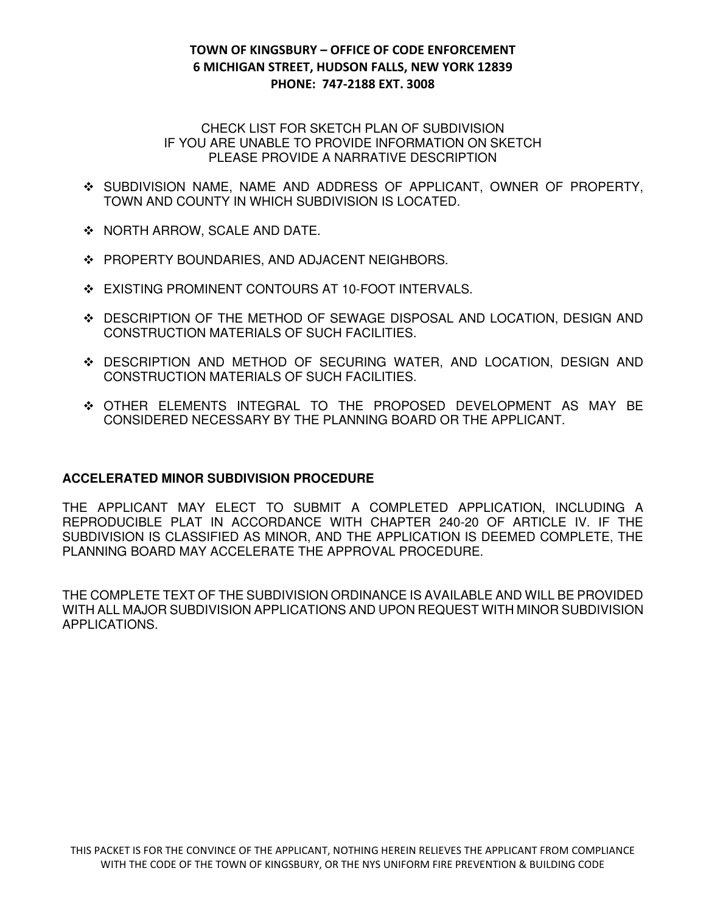## TOWN OF KINGSBURY – OFFICE OF CODE ENFORCEMENT 6 MICHIGAN STREET, HUDSON FALLS, NEW YORK 12839 PHONE: 747-2188 EXT. 3008

#### CHECK LIST FOR SKETCH PLAN OF SUBDIVISION IF YOU ARE UNABLE TO PROVIDE INFORMATION ON SKETCH PLEASE PROVIDE A NARRATIVE DESCRIPTION

- SUBDIVISION NAME, NAME AND ADDRESS OF APPLICANT, OWNER OF PROPERTY, TOWN AND COUNTY IN WHICH SUBDIVISION IS LOCATED.
- ◆ NORTH ARROW, SCALE AND DATE.
- **EXAMPLERTY BOUNDARIES, AND ADJACENT NEIGHBORS.**
- ❖ EXISTING PROMINENT CONTOURS AT 10-FOOT INTERVALS.
- DESCRIPTION OF THE METHOD OF SEWAGE DISPOSAL AND LOCATION, DESIGN AND CONSTRUCTION MATERIALS OF SUCH FACILITIES.
- DESCRIPTION AND METHOD OF SECURING WATER, AND LOCATION, DESIGN AND CONSTRUCTION MATERIALS OF SUCH FACILITIES.
- OTHER ELEMENTS INTEGRAL TO THE PROPOSED DEVELOPMENT AS MAY BE CONSIDERED NECESSARY BY THE PLANNING BOARD OR THE APPLICANT.

### **ACCELERATED MINOR SUBDIVISION PROCEDURE**

THE APPLICANT MAY ELECT TO SUBMIT A COMPLETED APPLICATION, INCLUDING A REPRODUCIBLE PLAT IN ACCORDANCE WITH CHAPTER 240-20 OF ARTICLE IV. IF THE SUBDIVISION IS CLASSIFIED AS MINOR, AND THE APPLICATION IS DEEMED COMPLETE, THE PLANNING BOARD MAY ACCELERATE THE APPROVAL PROCEDURE.

THE COMPLETE TEXT OF THE SUBDIVISION ORDINANCE IS AVAILABLE AND WILL BE PROVIDED WITH ALL MAJOR SUBDIVISION APPLICATIONS AND UPON REQUEST WITH MINOR SUBDIVISION APPLICATIONS.